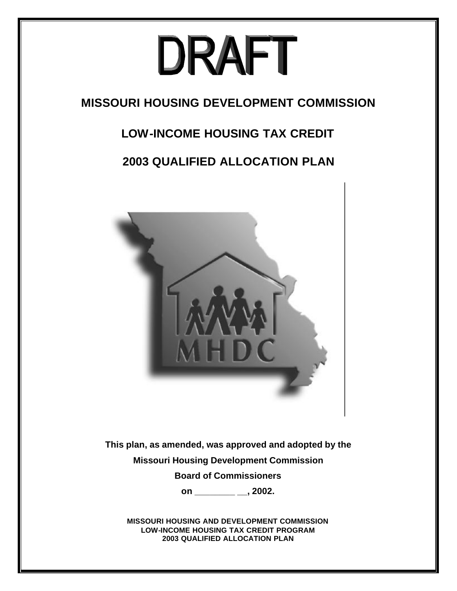# DRAFT

# **MISSOURI HOUSING DEVELOPMENT COMMISSION**

# **LOW-INCOME HOUSING TAX CREDIT**

# **2003 QUALIFIED ALLOCATION PLAN**



**This plan, as amended, was approved and adopted by the Missouri Housing Development Commission Board of Commissioners** 

**on \_\_\_\_\_\_\_\_ \_\_, 2002.**

**MISSOURI HOUSING AND DEVELOPMENT COMMISSION LOW-INCOME HOUSING TAX CREDIT PROGRAM 2003 QUALIFIED ALLOCATION PLAN**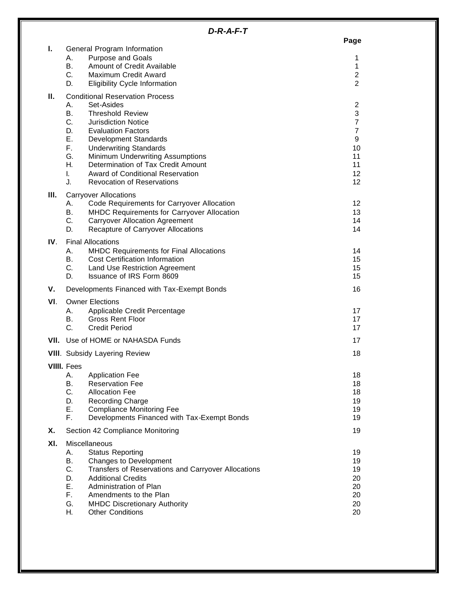| ×<br>٧<br>× |
|-------------|
|             |

| Τ.   | General Program Information            |                                                                             |                                  |  |  |
|------|----------------------------------------|-----------------------------------------------------------------------------|----------------------------------|--|--|
|      | А.                                     | <b>Purpose and Goals</b>                                                    | 1                                |  |  |
|      | <b>B.</b>                              | Amount of Credit Available                                                  | $\mathbf{1}$                     |  |  |
|      | C.                                     | Maximum Credit Award                                                        | $\overline{c}$                   |  |  |
|      | D.                                     | <b>Eligibility Cycle Information</b>                                        | $\overline{2}$                   |  |  |
| н.   | <b>Conditional Reservation Process</b> |                                                                             |                                  |  |  |
|      | А.                                     | Set-Asides                                                                  | $\overline{\mathbf{c}}$          |  |  |
|      | <b>B.</b>                              | <b>Threshold Review</b>                                                     | $\ensuremath{\mathsf{3}}$        |  |  |
|      | C.<br>D.                               | <b>Jurisdiction Notice</b><br><b>Evaluation Factors</b>                     | $\overline{7}$<br>$\overline{7}$ |  |  |
|      | Ε.                                     | <b>Development Standards</b>                                                | 9                                |  |  |
|      | F.                                     | <b>Underwriting Standards</b>                                               | 10                               |  |  |
|      | G.                                     | Minimum Underwriting Assumptions                                            | 11                               |  |  |
|      | Η.                                     | Determination of Tax Credit Amount                                          | 11                               |  |  |
|      | L.                                     | <b>Award of Conditional Reservation</b>                                     | 12                               |  |  |
|      | J.                                     | <b>Revocation of Reservations</b>                                           | 12                               |  |  |
| Ш.   | <b>Carryover Allocations</b>           |                                                                             |                                  |  |  |
|      | А.                                     | Code Requirements for Carryover Allocation                                  | 12                               |  |  |
|      | В.<br>C.                               | MHDC Requirements for Carryover Allocation                                  | 13                               |  |  |
|      | D.                                     | <b>Carryover Allocation Agreement</b><br>Recapture of Carryover Allocations | 14<br>14                         |  |  |
|      |                                        |                                                                             |                                  |  |  |
| IV.  | Α.                                     | <b>Final Allocations</b><br><b>MHDC Requirements for Final Allocations</b>  | 14                               |  |  |
|      | <b>B.</b>                              | <b>Cost Certification Information</b>                                       | 15                               |  |  |
|      | C.                                     | Land Use Restriction Agreement                                              | 15                               |  |  |
|      | D.                                     | <b>Issuance of IRS Form 8609</b>                                            | 15                               |  |  |
| v.   |                                        | Developments Financed with Tax-Exempt Bonds                                 | 16                               |  |  |
| VI.  |                                        | <b>Owner Elections</b>                                                      |                                  |  |  |
|      | А.                                     | Applicable Credit Percentage                                                | 17                               |  |  |
|      | В.                                     | <b>Gross Rent Floor</b>                                                     | 17                               |  |  |
|      | C.                                     | <b>Credit Period</b>                                                        | 17                               |  |  |
| VII. | Use of HOME or NAHASDA Funds           |                                                                             |                                  |  |  |
|      | <b>VIII.</b> Subsidy Layering Review   |                                                                             |                                  |  |  |
|      | <b>VIIII.</b> Fees                     |                                                                             |                                  |  |  |
|      | Α.                                     | <b>Application Fee</b>                                                      | 18                               |  |  |
|      | В.<br>C.                               | <b>Reservation Fee</b><br><b>Allocation Fee</b>                             | 18                               |  |  |
|      | D.                                     | <b>Recording Charge</b>                                                     | 18<br>19                         |  |  |
|      | Ε.                                     | <b>Compliance Monitoring Fee</b>                                            | 19                               |  |  |
|      | F.                                     | Developments Financed with Tax-Exempt Bonds                                 | 19                               |  |  |
| Х.   |                                        | Section 42 Compliance Monitoring                                            | 19                               |  |  |
| XI.  |                                        | Miscellaneous                                                               |                                  |  |  |
|      | Α.                                     | <b>Status Reporting</b>                                                     | 19                               |  |  |
|      | В.                                     | Changes to Development                                                      | 19                               |  |  |
|      | C.                                     | Transfers of Reservations and Carryover Allocations                         | 19                               |  |  |
|      | D.                                     | <b>Additional Credits</b>                                                   | 20                               |  |  |
|      | Ε.<br>F.                               | Administration of Plan<br>Amendments to the Plan                            | 20                               |  |  |
|      | G.                                     | <b>MHDC Discretionary Authority</b>                                         | 20<br>20                         |  |  |
|      | Н.                                     | <b>Other Conditions</b>                                                     | 20                               |  |  |
|      |                                        |                                                                             |                                  |  |  |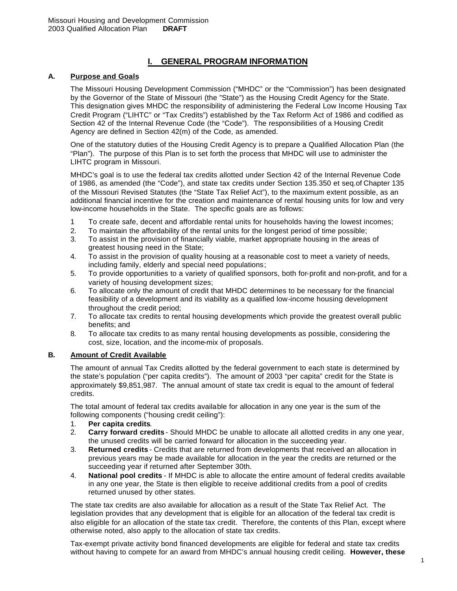# **I. GENERAL PROGRAM INFORMATION**

#### **A. Purpose and Goals**

The Missouri Housing Development Commission ("MHDC" or the "Commission") has been designated by the Governor of the State of Missouri (the "State") as the Housing Credit Agency for the State. This designation gives MHDC the responsibility of administering the Federal Low Income Housing Tax Credit Program ("LIHTC" or "Tax Credits") established by the Tax Reform Act of 1986 and codified as Section 42 of the Internal Revenue Code (the "Code"). The responsibilities of a Housing Credit Agency are defined in Section 42(m) of the Code, as amended.

One of the statutory duties of the Housing Credit Agency is to prepare a Qualified Allocation Plan (the "Plan"). The purpose of this Plan is to set forth the process that MHDC will use to administer the LIHTC program in Missouri.

MHDC's goal is to use the federal tax credits allotted under Section 42 of the Internal Revenue Code of 1986, as amended (the "Code"), and state tax credits under Section 135.350 et seq.of Chapter 135 of the Missouri Revised Statutes (the "State Tax Relief Act"), to the maximum extent possible, as an additional financial incentive for the creation and maintenance of rental housing units for low and very low-income households in the State. The specific goals are as follows:

- 1 To create safe, decent and affordable rental units for households having the lowest incomes;
- 2. To maintain the affordability of the rental units for the longest period of time possible;
- 3. To assist in the provision of financially viable, market appropriate housing in the areas of greatest housing need in the State;
- 4. To assist in the provision of quality housing at a reasonable cost to meet a variety of needs, including family, elderly and special need populations;
- 5. To provide opportunities to a variety of qualified sponsors, both for-profit and non-profit, and for a variety of housing development sizes;
- 6. To allocate only the amount of credit that MHDC determines to be necessary for the financial feasibility of a development and its viability as a qualified low-income housing development throughout the credit period;
- 7. To allocate tax credits to rental housing developments which provide the greatest overall public benefits; and
- 8. To allocate tax credits to as many rental housing developments as possible, considering the cost, size, location, and the income-mix of proposals.

# **B. Amount of Credit Available**

The amount of annual Tax Credits allotted by the federal government to each state is determined by the state's population ("per capita credits"). The amount of 2003 "per capita" credit for the State is approximately \$9,851,987. The annual amount of state tax credit is equal to the amount of federal credits.

The total amount of federal tax credits available for allocation in any one year is the sum of the following components ("housing credit ceiling"):

- 1. **Per capita credits**.
- 2. **Carry forward credits** Should MHDC be unable to allocate all allotted credits in any one year, the unused credits will be carried forward for allocation in the succeeding year.
- 3. **Returned credits** Credits that are returned from developments that received an allocation in previous years may be made available for allocation in the year the credits are returned or the succeeding year if returned after September 30th.
- 4. **National pool credits** If MHDC is able to allocate the entire amount of federal credits available in any one year, the State is then eligible to receive additional credits from a pool of credits returned unused by other states.

The state tax credits are also available for allocation as a result of the State Tax Relief Act. The legislation provides that any development that is eligible for an allocation of the federal tax credit is also eligible for an allocation of the state tax credit. Therefore, the contents of this Plan, except where otherwise noted, also apply to the allocation of state tax credits.

Tax-exempt private activity bond financed developments are eligible for federal and state tax credits without having to compete for an award from MHDC's annual housing credit ceiling. **However, these**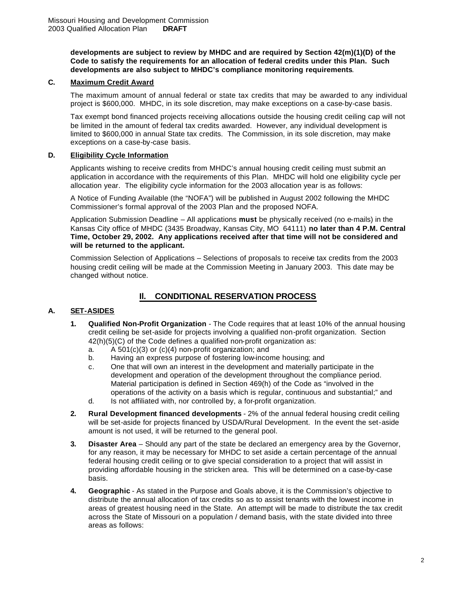**developments are subject to review by MHDC and are required by Section 42(m)(1)(D) of the Code to satisfy the requirements for an allocation of federal credits under this Plan. Such developments are also subject to MHDC's compliance monitoring requirements**.

# **C. Maximum Credit Award**

The maximum amount of annual federal or state tax credits that may be awarded to any individual project is \$600,000. MHDC, in its sole discretion, may make exceptions on a case-by-case basis.

Tax exempt bond financed projects receiving allocations outside the housing credit ceiling cap will not be limited in the amount of federal tax credits awarded. However, any individual development is limited to \$600,000 in annual State tax credits. The Commission, in its sole discretion, may make exceptions on a case-by-case basis.

#### **D. Eligibility Cycle Information**

Applicants wishing to receive credits from MHDC's annual housing credit ceiling must submit an application in accordance with the requirements of this Plan. MHDC will hold one eligibility cycle per allocation year. The eligibility cycle information for the 2003 allocation year is as follows:

A Notice of Funding Available (the "NOFA") will be published in August 2002 following the MHDC Commissioner's formal approval of the 2003 Plan and the proposed NOFA.

Application Submission Deadline – All applications **must** be physically received (no e-mails) in the Kansas City office of MHDC (3435 Broadway, Kansas City, MO 64111) **no later than 4 P.M. Central Time, October 29, 2002. Any applications received after that time will not be considered and will be returned to the applicant.**

Commission Selection of Applications – Selections of proposals to receive tax credits from the 2003 housing credit ceiling will be made at the Commission Meeting in January 2003. This date may be changed without notice.

# **Il. CONDITIONAL RESERVATION PROCESS**

# **A. SET-ASIDES**

- **1. Qualified Non-Profit Organization** The Code requires that at least 10% of the annual housing credit ceiling be set-aside for projects involving a qualified non-profit organization. Section 42(h)(5)(C) of the Code defines a qualified non-profit organization as:
	- a. A 501(c)(3) or (c)(4) non-profit organization; and
	- b. Having an express purpose of fostering low-income housing; and
	- c. One that will own an interest in the development and materially participate in the development and operation of the development throughout the compliance period. Material participation is defined in Section 469(h) of the Code as "involved in the operations of the activity on a basis which is regular, continuous and substantial;" and
	- d. Is not affiliated with, nor controlled by, a for-profit organization.
- **2. Rural Development financed developments** 2% of the annual federal housing credit ceiling will be set-aside for projects financed by USDA/Rural Development. In the event the set-aside amount is not used, it will be returned to the general pool.
- **3. Disaster Area** Should any part of the state be declared an emergency area by the Governor, for any reason, it may be necessary for MHDC to set aside a certain percentage of the annual federal housing credit ceiling or to give special consideration to a project that will assist in providing affordable housing in the stricken area. This will be determined on a case-by-case basis.
- **4. Geographic** As stated in the Purpose and Goals above, it is the Commission's objective to distribute the annual allocation of tax credits so as to assist tenants with the lowest income in areas of greatest housing need in the State. An attempt will be made to distribute the tax credit across the State of Missouri on a population / demand basis, with the state divided into three areas as follows: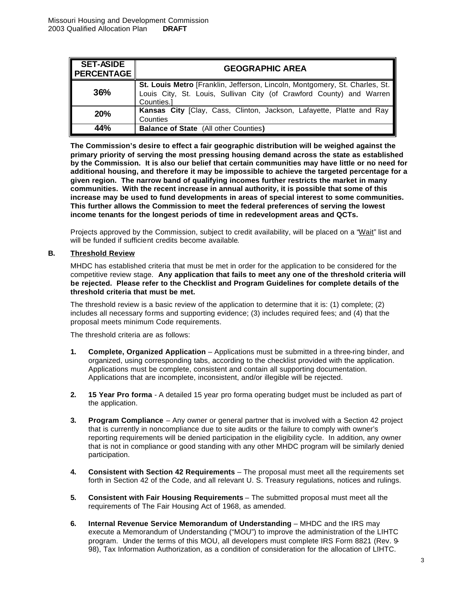| <b>SET-ASIDE</b> | <b>GEOGRAPHIC AREA</b>                                                                                                                                           |  |  |
|------------------|------------------------------------------------------------------------------------------------------------------------------------------------------------------|--|--|
| 36%              | St. Louis Metro [Franklin, Jefferson, Lincoln, Montgomery, St. Charles, St.<br>Louis City, St. Louis, Sullivan City (of Crawford County) and Warren<br>Counties. |  |  |
| 20%              | Kansas City [Clay, Cass, Clinton, Jackson, Lafayette, Platte and Ray<br>Counties                                                                                 |  |  |
| 44%              | <b>Balance of State (All other Counties)</b>                                                                                                                     |  |  |

**The Commission's desire to effect a fair geographic distribution will be weighed against the primary priority of serving the most pressing housing demand across the state as established by the Commission. It is also our belief that certain communities may have little or no need for additional housing, and therefore it may be impossible to achieve the targeted percentage for a given region. The narrow band of qualifying incomes further restricts the market in many communities. With the recent increase in annual authority, it is possible that some of this increase may be used to fund developments in areas of special interest to some communities. This further allows the Commission to meet the federal preferences of serving the lowest income tenants for the longest periods of time in redevelopment areas and QCTs.**

Projects approved by the Commission, subject to credit availability, will be placed on a "Wait" list and will be funded if sufficient credits become available.

#### **B. Threshold Review**

MHDC has established criteria that must be met in order for the application to be considered for the competitive review stage. **Any application that fails to meet any one of the threshold criteria will be rejected. Please refer to the Checklist and Program Guidelines for complete details of the threshold criteria that must be met.**

The threshold review is a basic review of the application to determine that it is: (1) complete; (2) includes all necessary forms and supporting evidence; (3) includes required fees; and (4) that the proposal meets minimum Code requirements.

The threshold criteria are as follows:

- **1. Complete, Organized Application** Applications must be submitted in a three-ring binder, and organized, using corresponding tabs, according to the checklist provided with the application. Applications must be complete, consistent and contain all supporting documentation. Applications that are incomplete, inconsistent, and/or illegible will be rejected.
- **2. 15 Year Pro forma** A detailed 15 year pro forma operating budget must be included as part of the application.
- **3. Program Compliance** Any owner or general partner that is involved with a Section 42 project that is currently in noncompliance due to site audits or the failure to comply with owner's reporting requirements will be denied participation in the eligibility cycle. In addition, any owner that is not in compliance or good standing with any other MHDC program will be similarly denied participation.
- **4. Consistent with Section 42 Requirements** The proposal must meet all the requirements set forth in Section 42 of the Code, and all relevant U. S. Treasury regulations, notices and rulings.
- **5. Consistent with Fair Housing Requirements** The submitted proposal must meet all the requirements of The Fair Housing Act of 1968, as amended.
- **6. Internal Revenue Service Memorandum of Understanding** MHDC and the IRS may execute a Memorandum of Understanding ("MOU") to improve the administration of the LIHTC program. Under the terms of this MOU, all developers must complete IRS Form 8821 (Rev. 9- 98), Tax Information Authorization, as a condition of consideration for the allocation of LIHTC.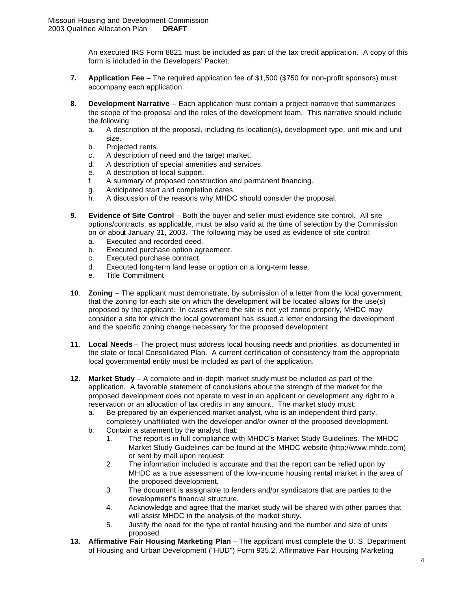An executed IRS Form 8821 must be included as part of the tax credit application. A copy of this form is included in the Developers' Packet.

- **7. Application Fee** The required application fee of \$1,500 (\$750 for non-profit sponsors) must accompany each application.
- **8. Development Narrative** Each application must contain a project narrative that summarizes the scope of the proposal and the roles of the development team. This narrative should include the following:
	- a. A description of the proposal, including its location(s), development type, unit mix and unit size.
	- b. Projected rents.
	- c. A description of need and the target market.
	- d. A description of special amenities and services.
	- e. A description of local support.
	- f. A summary of proposed construction and permanent financing.
	- g. Anticipated start and completion dates.
	- h. A discussion of the reasons why MHDC should consider the proposal.
- **9**. **Evidence of Site Control** Both the buyer and seller must evidence site control. All site options/contracts, as applicable, must be also valid at the time of selection by the Commission on or about January 31, 2003. The following may be used as evidence of site control:
	- a. Executed and recorded deed.
	- b. Executed purchase option agreement.
	- c. Executed purchase contract.
	- d. Executed long-term land lease or option on a long-term lease.
	- e. Title Commitment
- **10**. **Zoning** The applicant must demonstrate, by submission of a letter from the local government, that the zoning for each site on which the development will be located allows for the use(s) proposed by the applicant. In cases where the site is not yet zoned properly, MHDC may consider a site for which the local government has issued a letter endorsing the development and the specific zoning change necessary for the proposed development.
- **11**. **Local Needs** The project must address local housing needs and priorities, as documented in the state or local Consolidated Plan. A current certification of consistency from the appropriate local governmental entity must be included as part of the application.
- **12**. **Market Study** A complete and in-depth market study must be included as part of the application. A favorable statement of conclusions about the strength of the market for the proposed development does not operate to vest in an applicant or development any right to a reservation or an allocation of tax credits in any amount. The market study must:
	- a. Be prepared by an experienced market analyst, who is an independent third party, completely unaffiliated with the developer and/or owner of the proposed development.
	- b. Contain a statement by the analyst that:
		- 1. The report is in full compliance with MHDC's Market Study Guidelines. The MHDC Market Study Guidelines can be found at the MHDC website (http://www.mhdc.com) or sent by mail upon request;
		- 2. The information included is accurate and that the report can be relied upon by MHDC as a true assessment of the low-income housing rental market in the area of the proposed development.
		- 3. The document is assignable to lenders and/or syndicators that are parties to the development's financial structure.
		- 4. Acknowledge and agree that the market study will be shared with other parties that will assist MHDC in the analysis of the market study.
		- 5. Justify the need for the type of rental housing and the number and size of units proposed.
- **13. Affirmative Fair Housing Marketing Plan** The applicant must complete the U. S. Department of Housing and Urban Development ("HUD") Form 935.2, Affirmative Fair Housing Marketing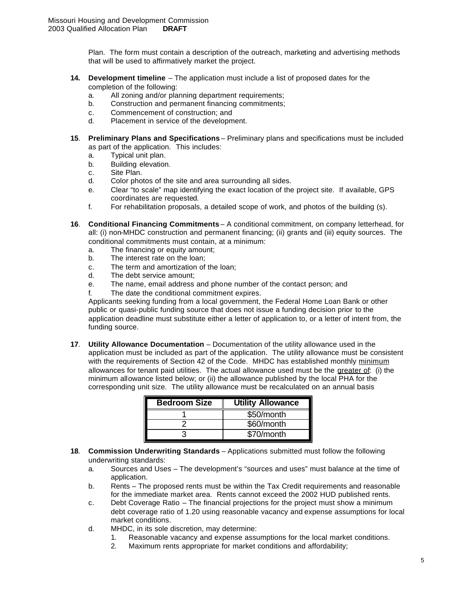Plan. The form must contain a description of the outreach, marketing and advertising methods that will be used to affirmatively market the project.

- **14. Development timeline** The application must include a list of proposed dates for the completion of the following:
	- a. All zoning and/or planning department requirements;
	- b. Construction and permanent financing commitments;
	- c. Commencement of construction; and
	- d. Placement in service of the development.
- **15**. **Preliminary Plans and Specifications** Preliminary plans and specifications must be included as part of the application. This includes:
	- a. Typical unit plan.
	- b. Building elevation.
	- c. Site Plan.
	- d. Color photos of the site and area surrounding all sides.
	- e. Clear "to scale" map identifying the exact location of the project site. If available, GPS coordinates are requested.
	- f. For rehabilitation proposals, a detailed scope of work, and photos of the building (s).
- **16**. **Conditional Financing Commitments** A conditional commitment, on company letterhead, for all: (i) non-MHDC construction and permanent financing; (ii) grants and (iii) equity sources. The conditional commitments must contain, at a minimum:
	- a. The financing or equity amount;
	- b. The interest rate on the loan;
	- c. The term and amortization of the loan;
	- d. The debt service amount;
	- e. The name, email address and phone number of the contact person; and
	- f. The date the conditional commitment expires.

Applicants seeking funding from a local government, the Federal Home Loan Bank or other public or quasi-public funding source that does not issue a funding decision prior to the application deadline must substitute either a letter of application to, or a letter of intent from, the funding source.

**17**. **Utility Allowance Documentation** – Documentation of the utility allowance used in the application must be included as part of the application. The utility allowance must be consistent with the requirements of Section 42 of the Code. MHDC has established monthly minimum allowances for tenant paid utilities. The actual allowance used must be the greater of: (i) the minimum allowance listed below; or (ii) the allowance published by the local PHA for the corresponding unit size. The utility allowance must be recalculated on an annual basis

| <b>Bedroom Size</b> | <b>Utility Allowance</b> |
|---------------------|--------------------------|
|                     | \$50/month               |
|                     | \$60/month               |
|                     | \$70/month               |

- **18**. **Commission Underwriting Standards** Applications submitted must follow the following underwriting standards:
	- a. Sources and Uses The development's "sources and uses" must balance at the time of application.
	- b. Rents The proposed rents must be within the Tax Credit requirements and reasonable for the immediate market area. Rents cannot exceed the 2002 HUD published rents.
	- c. Debt Coverage Ratio The financial projections for the project must show a minimum debt coverage ratio of 1.20 using reasonable vacancy and expense assumptions for local market conditions.
	- d. MHDC, in its sole discretion, may determine:
		- 1. Reasonable vacancy and expense assumptions for the local market conditions.
			- 2. Maximum rents appropriate for market conditions and affordability;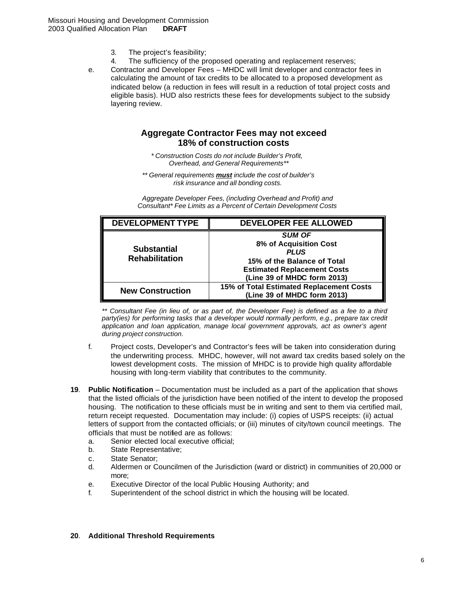- 3. The project's feasibility;
- 4. The sufficiency of the proposed operating and replacement reserves;
- e. Contractor and Developer Fees MHDC will limit developer and contractor fees in calculating the amount of tax credits to be allocated to a proposed development as indicated below (a reduction in fees will result in a reduction of total project costs and eligible basis). HUD also restricts these fees for developments subject to the subsidy layering review.

# **Aggregate Contractor Fees may not exceed 18% of construction costs**

*\* Construction Costs do not include Builder's Profit, Overhead, and General Requirements\*\**

*\*\* General requirements must include the cost of builder's risk insurance and all bonding costs.*

*Aggregate Developer Fees, (including Overhead and Profit) and Consultant\* Fee Limits as a Percent of Certain Development Costs* 

| <b>DEVELOPMENT TYPE</b>                     | DEVELOPER FEE ALLOWED                                                                                                                                      |
|---------------------------------------------|------------------------------------------------------------------------------------------------------------------------------------------------------------|
| <b>Substantial</b><br><b>Rehabilitation</b> | <b>SUM OF</b><br>8% of Acquisition Cost<br><b>PLUS</b><br>15% of the Balance of Total<br><b>Estimated Replacement Costs</b><br>(Line 39 of MHDC form 2013) |
| <b>New Construction</b>                     | 15% of Total Estimated Replacement Costs<br>(Line 39 of MHDC form 2013)                                                                                    |

*\*\* Consultant Fee (in lieu of, or as part of, the Developer Fee) is defined as a fee to a third*  party(ies) for performing tasks that a developer would normally perform, e.g., prepare tax credit *application and loan application, manage local government approvals, act as owner's agent during project construction.*

- f. Project costs, Developer's and Contractor's fees will be taken into consideration during the underwriting process. MHDC, however, will not award tax credits based solely on the lowest development costs. The mission of MHDC is to provide high quality affordable housing with long-term viability that contributes to the community.
- **19**. **Public Notification** Documentation must be included as a part of the application that shows that the listed officials of the jurisdiction have been notified of the intent to develop the proposed housing. The notification to these officials must be in writing and sent to them via certified mail, return receipt requested. Documentation may include: (i) copies of USPS receipts: (ii) actual letters of support from the contacted officials; or (iii) minutes of city/town council meetings. The officials that must be notified are as follows:
	- a. Senior elected local executive official;
	- b. State Representative;
	- c. State Senator;
	- d. Aldermen or Councilmen of the Jurisdiction (ward or district) in communities of 20,000 or more;
	- e. Executive Director of the local Public Housing Authority; and
	- f. Superintendent of the school district in which the housing will be located.

#### **20**. **Additional Threshold Requirements**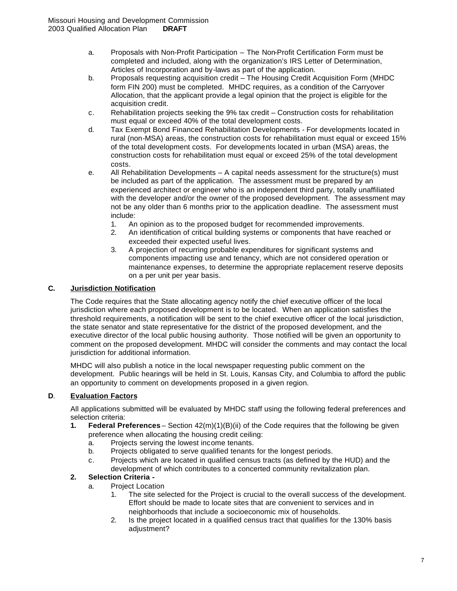- a. Proposals with Non-Profit Participation The Non-Profit Certification Form must be completed and included, along with the organization's IRS Letter of Determination, Articles of Incorporation and by-laws as part of the application.
- b. Proposals requesting acquisition credit The Housing Credit Acquisition Form (MHDC form FIN 200) must be completed. MHDC requires, as a condition of the Carryover Allocation, that the applicant provide a legal opinion that the project is eligible for the acquisition credit.
- c. Rehabilitation projects seeking the 9% tax credit Construction costs for rehabilitation must equal or exceed 40% of the total development costs.
- d. Tax Exempt Bond Financed Rehabilitation Developments For developments located in rural (non-MSA) areas, the construction costs for rehabilitation must equal or exceed 15% of the total development costs. For developments located in urban (MSA) areas, the construction costs for rehabilitation must equal or exceed 25% of the total development costs.
- e. All Rehabilitation Developments A capital needs assessment for the structure(s) must be included as part of the application. The assessment must be prepared by an experienced architect or engineer who is an independent third party, totally unaffiliated with the developer and/or the owner of the proposed development. The assessment may not be any older than 6 months prior to the application deadline. The assessment must include:
	- 1. An opinion as to the proposed budget for recommended improvements.
	- 2. An identification of critical building systems or components that have reached or exceeded their expected useful lives.
	- 3. A projection of recurring probable expenditures for significant systems and components impacting use and tenancy, which are not considered operation or maintenance expenses, to determine the appropriate replacement reserve deposits on a per unit per year basis.

# **C. Jurisdiction Notification**

The Code requires that the State allocating agency notify the chief executive officer of the local jurisdiction where each proposed development is to be located. When an application satisfies the threshold requirements, a notification will be sent to the chief executive officer of the local jurisdiction, the state senator and state representative for the district of the proposed development, and the executive director of the local public housing authority. Those notified will be given an opportunity to comment on the proposed development. MHDC will consider the comments and may contact the local jurisdiction for additional information.

MHDC will also publish a notice in the local newspaper requesting public comment on the development. Public hearings will be held in St. Louis, Kansas City, and Columbia to afford the public an opportunity to comment on developments proposed in a given region.

# **D**. **Evaluation Factors**

All applications submitted will be evaluated by MHDC staff using the following federal preferences and selection criteria:

- **1. Federal Preferences** Section 42(m)(1)(B)(ii) of the Code requires that the following be given preference when allocating the housing credit ceiling:
	- a. Projects serving the lowest income tenants.
	- b. Projects obligated to serve qualified tenants for the longest periods.
	- c. Projects which are located in qualified census tracts (as defined by the HUD) and the development of which contributes to a concerted community revitalization plan.

# **2. Selection Criteria -**

- a. Project Location
	- 1. The site selected for the Project is crucial to the overall success of the development. Effort should be made to locate sites that are convenient to services and in neighborhoods that include a socioeconomic mix of households.
	- 2. Is the project located in a qualified census tract that qualifies for the 130% basis adjustment?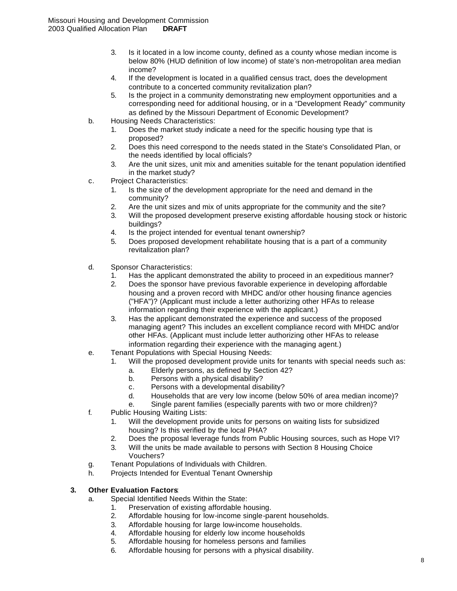- 3. Is it located in a low income county, defined as a county whose median income is below 80% (HUD definition of low income) of state's non-metropolitan area median income?
- 4. If the development is located in a qualified census tract, does the development contribute to a concerted community revitalization plan?
- 5. Is the project in a community demonstrating new employment opportunities and a corresponding need for additional housing, or in a "Development Ready" community as defined by the Missouri Department of Economic Development?
- b. Housing Needs Characteristics:
	- 1. Does the market study indicate a need for the specific housing type that is proposed?
	- 2. Does this need correspond to the needs stated in the State's Consolidated Plan, or the needs identified by local officials?
	- 3. Are the unit sizes, unit mix and amenities suitable for the tenant population identified in the market study?
- c. Project Characteristics:
	- 1. Is the size of the development appropriate for the need and demand in the community?
	- 2. Are the unit sizes and mix of units appropriate for the community and the site?
	- 3. Will the proposed development preserve existing affordable housing stock or historic buildings?
	- 4. Is the project intended for eventual tenant ownership?
	- 5. Does proposed development rehabilitate housing that is a part of a community revitalization plan?
- d. Sponsor Characteristics:
	- 1. Has the applicant demonstrated the ability to proceed in an expeditious manner?
	- 2. Does the sponsor have previous favorable experience in developing affordable housing and a proven record with MHDC and/or other housing finance agencies ("HFA")? (Applicant must include a letter authorizing other HFAs to release information regarding their experience with the applicant.)
	- 3. Has the applicant demonstrated the experience and success of the proposed managing agent? This includes an excellent compliance record with MHDC and/or other HFAs. (Applicant must include letter authorizing other HFAs to release information regarding their experience with the managing agent.)
- e. Tenant Populations with Special Housing Needs:
	- 1. Will the proposed development provide units for tenants with special needs such as:
		- a. Elderly persons, as defined by Section 42?
		- b. Persons with a physical disability?
		- c. Persons with a developmental disability?
		- d. Households that are very low income (below 50% of area median income)?
		- e. Single parent families (especially parents with two or more children)?
- f. Public Housing Waiting Lists:
	- 1. Will the development provide units for persons on waiting lists for subsidized housing? Is this verified by the local PHA?
	- 2. Does the proposal leverage funds from Public Housing sources, such as Hope VI?
	- 3. Will the units be made available to persons with Section 8 Housing Choice Vouchers?
- g. Tenant Populations of Individuals with Children.
- h. Projects Intended for Eventual Tenant Ownership

# **3. Other Evaluation Factors**:

- a. Special Identified Needs Within the State:
	- 1. Preservation of existing affordable housing.
	- 2. Affordable housing for low-income single-parent households.
	- 3. Affordable housing for large low-income households.
	- 4. Affordable housing for elderly low income households
	- 5. Affordable housing for homeless persons and families
	- 6. Affordable housing for persons with a physical disability.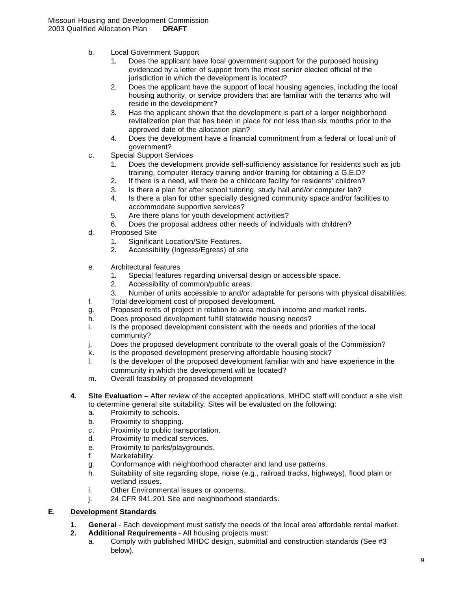- b. Local Government Support
	- 1. Does the applicant have local government support for the purposed housing evidenced by a letter of support from the most senior elected official of the jurisdiction in which the development is located?
	- 2. Does the applicant have the support of local housing agencies, including the local housing authority, or service providers that are familiar with the tenants who will reside in the development?
	- 3. Has the applicant shown that the development is part of a larger neighborhood revitalization plan that has been in place for not less than six months prior to the approved date of the allocation plan?
	- 4. Does the development have a financial commitment from a federal or local unit of government?
- c. Special Support Services
	- 1. Does the development provide self-sufficiency assistance for residents such as job training, computer literacy training and/or training for obtaining a G.E.D?
	- 2. If there is a need, will there be a childcare facility for residents' children?
	- 3. Is there a plan for after school tutoring, study hall and/or computer lab?
	- 4. Is there a plan for other specially designed community space and/or facilities to accommodate supportive services?
	- 5. Are there plans for youth development activities?
	- 6. Does the proposal address other needs of individuals with children?
- d. Proposed Site
	- 1. Significant Location/Site Features.
	- 2. Accessibility (Ingress/Egress) of site
- e. Architectural features
	- 1. Special features regarding universal design or accessible space.
	- 2. Accessibility of common/public areas.
	- 3. Number of units accessible to and/or adaptable for persons with physical disabilities.
- f. Total development cost of proposed development.
- g. Proposed rents of project in relation to area median income and market rents.
- h. Does proposed development fulfill statewide housing needs?
- i. Is the proposed development consistent with the needs and priorities of the local community?
- j. Does the proposed development contribute to the overall goals of the Commission?
- k. Is the proposed development preserving affordable housing stock?
- l. Is the developer of the proposed development familiar with and have experience in the community in which the development will be located?
- m. Overall feasibility of proposed development
- **4. Site Evaluation** After review of the accepted applications, MHDC staff will conduct a site visit to determine general site suitability. Sites will be evaluated on the following:
	- a. Proximity to schools.
	- b. Proximity to shopping.
	- c. Proximity to public transportation.
	- d. Proximity to medical services.
	- e. Proximity to parks/playgrounds.
	- f. Marketability.
	- g. Conformance with neighborhood character and land use patterns.
	- h. Suitability of site regarding slope, noise (e.g., railroad tracks, highways), flood plain or wetland issues.
	- i. Other Environmental issues or concerns.
	- j. 24 CFR 941.201 Site and neighborhood standards.

# **E**. **Development Standards**

- **1**. **General** Each development must satisfy the needs of the local area affordable rental market.
- **2. Additional Requirements** All housing projects must:
	- a. Comply with published MHDC design, submittal and construction standards (See #3 below).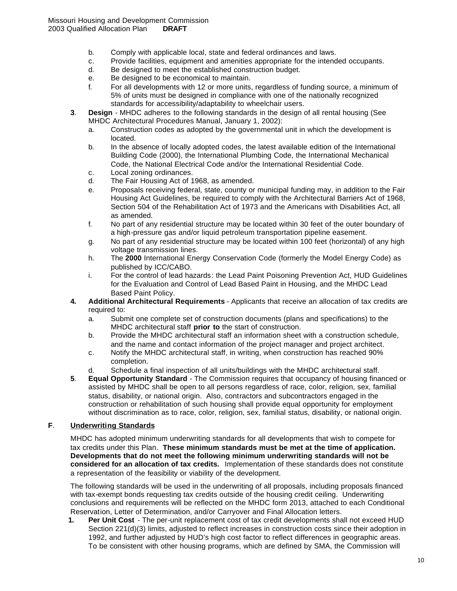- b. Comply with applicable local, state and federal ordinances and laws.
- c. Provide facilities, equipment and amenities appropriate for the intended occupants.
- d. Be designed to meet the established construction budget.
- e. Be designed to be economical to maintain.
- f. For all developments with 12 or more units, regardless of funding source, a minimum of 5% of units must be designed in compliance with one of the nationally recognized standards for accessibility/adaptability to wheelchair users.
- **3**. **Design** MHDC adheres to the following standards in the design of all rental housing (See MHDC Architectural Procedures Manual, January 1, 2002):
	- a. Construction codes as adopted by the governmental unit in which the development is located.
	- b. In the absence of locally adopted codes, the latest available edition of the International Building Code (2000), the International Plumbing Code, the International Mechanical Code, the National Electrical Code and/or the International Residential Code.
	- c. Local zoning ordinances.
	- d. The Fair Housing Act of 1968, as amended.
	- e. Proposals receiving federal, state, county or municipal funding may, in addition to the Fair Housing Act Guidelines, be required to comply with the Architectural Barriers Act of 1968, Section 504 of the Rehabilitation Act of 1973 and the Americans with Disabilities Act, all as amended.
	- f. No part of any residential structure may be located within 30 feet of the outer boundary of a high-pressure gas and/or liquid petroleum transportation pipeline easement.
	- g. No part of any residential structure may be located within 100 feet (horizontal) of any high voltage transmission lines.
	- h. The **2000** International Energy Conservation Code (formerly the Model Energy Code) as published by ICC/CABO.
	- i. For the control of lead hazards: the Lead Paint Poisoning Prevention Act, HUD Guidelines for the Evaluation and Control of Lead Based Paint in Housing, and the MHDC Lead Based Paint Policy.
- **4. Additional Architectural Requirements** Applicants that receive an allocation of tax credits are required to:
	- a. Submit one complete set of construction documents (plans and specifications) to the MHDC architectural staff **prior to** the start of construction.
	- b. Provide the MHDC architectural staff an information sheet with a construction schedule, and the name and contact information of the project manager and project architect.
	- c. Notify the MHDC architectural staff, in writing, when construction has reached 90% completion.
	- d. Schedule a final inspection of all units/buildings with the MHDC architectural staff.
- **5**. **Equal Opportunity Standard** The Commission requires that occupancy of housing financed or assisted by MHDC shall be open to all persons regardless of race, color, religion, sex, familial status, disability, or national origin. Also, contractors and subcontractors engaged in the construction or rehabilitation of such housing shall provide equal opportunity for employment without discrimination as to race, color, religion, sex, familial status, disability, or national origin.

# **F**. **Underwriting Standards**

MHDC has adopted minimum underwriting standards for all developments that wish to compete for tax credits under this Plan. **These minimum standards must be met at the time of application. Developments that do not meet the following minimum underwriting standards will not be considered for an allocation of tax credits.** Implementation of these standards does not constitute a representation of the feasibility or viability of the development.

The following standards will be used in the underwriting of all proposals, including proposals financed with tax-exempt bonds requesting tax credits outside of the housing credit ceiling. Underwriting conclusions and requirements will be reflected on the MHDC form 2013, attached to each Conditional Reservation, Letter of Determination, and/or Carryover and Final Allocation letters.

**1. Per Unit Cost** - The per-unit replacement cost of tax credit developments shall not exceed HUD Section 221(d)(3) limits, adjusted to reflect increases in construction costs since their adoption in 1992, and further adjusted by HUD's high cost factor to reflect differences in geographic areas. To be consistent with other housing programs, which are defined by SMA, the Commission will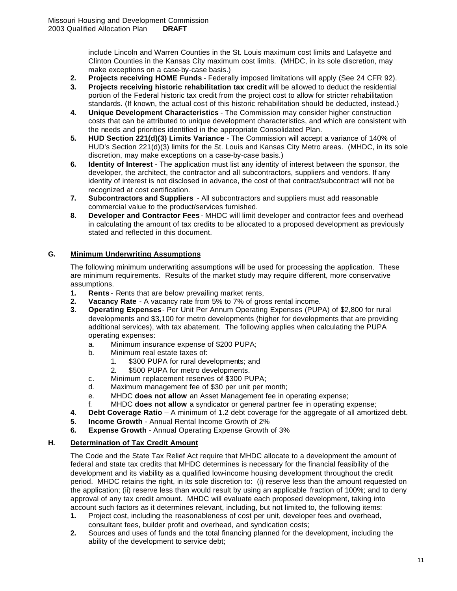include Lincoln and Warren Counties in the St. Louis maximum cost limits and Lafayette and Clinton Counties in the Kansas City maximum cost limits. (MHDC, in its sole discretion, may make exceptions on a case-by-case basis.)

- **2. Projects receiving HOME Funds** Federally imposed limitations will apply (See 24 CFR 92).
- **3. Projects receiving historic rehabilitation tax credit** will be allowed to deduct the residential portion of the Federal historic tax credit from the project cost to allow for stricter rehabilitation standards. (If known, the actual cost of this historic rehabilitation should be deducted, instead.)
- **4. Unique Development Characteristics** The Commission may consider higher construction costs that can be attributed to unique development characteristics, and which are consistent with the needs and priorities identified in the appropriate Consolidated Plan.
- **5. HUD Section 221(d)(3) Limits Variance**  The Commission will accept a variance of 140% of HUD's Section 221(d)(3) limits for the St. Louis and Kansas City Metro areas. (MHDC, in its sole discretion, may make exceptions on a case-by-case basis.)
- **6. Identity of Interest** The application must list any identity of interest between the sponsor, the developer, the architect, the contractor and all subcontractors, suppliers and vendors. If any identity of interest is not disclosed in advance, the cost of that contract/subcontract will not be recognized at cost certification.
- **7. Subcontractors and Suppliers**  All subcontractors and suppliers must add reasonable commercial value to the product/services furnished.
- **8. Developer and Contractor Fees** MHDC will limit developer and contractor fees and overhead in calculating the amount of tax credits to be allocated to a proposed development as previously stated and reflected in this document.

# **G. Minimum Underwriting Assumptions**

The following minimum underwriting assumptions will be used for processing the application. These are minimum requirements. Results of the market study may require different, more conservative assumptions.

- **1. Rents** Rents that are below prevailing market rents,
- **2. Vacancy Rate** A vacancy rate from 5% to 7% of gross rental income.
- **3**. **Operating Expenses** Per Unit Per Annum Operating Expenses (PUPA) of \$2,800 for rural developments and \$3,100 for metro developments (higher for developments that are providing additional services), with tax abatement. The following applies when calculating the PUPA operating expenses:
	- a. Minimum insurance expense of \$200 PUPA;
	- b. Minimum real estate taxes of:
		- 1. \$300 PUPA for rural developments; and
		- 2. \$500 PUPA for metro developments.
	- c. Minimum replacement reserves of \$300 PUPA;
	- d. Maximum management fee of \$30 per unit per month;
	- e. MHDC **does not allow** an Asset Management fee in operating expense;
	- f. MHDC **does not allow** a syndicator or general partner fee in operating expense;
- **4**. **Debt Coverage Ratio** A minimum of 1.2 debt coverage for the aggregate of all amortized debt.
- **5**. **Income Growth** Annual Rental Income Growth of 2%
- **6. Expense Growth** Annual Operating Expense Growth of 3%

# **H. Determination of Tax Credit Amount**

The Code and the State Tax Relief Act require that MHDC allocate to a development the amount of federal and state tax credits that MHDC determines is necessary for the financial feasibility of the development and its viability as a qualified low-income housing development throughout the credit period. MHDC retains the right, in its sole discretion to: (i) reserve less than the amount requested on the application; (ii) reserve less than would result by using an applicable fraction of 100%; and to deny approval of any tax credit amount. MHDC will evaluate each proposed development, taking into account such factors as it determines relevant, including, but not limited to, the following items:

- **1.** Project cost, including the reasonableness of cost per unit, developer fees and overhead, consultant fees, builder profit and overhead, and syndication costs;
- **2.** Sources and uses of funds and the total financing planned for the development, including the ability of the development to service debt;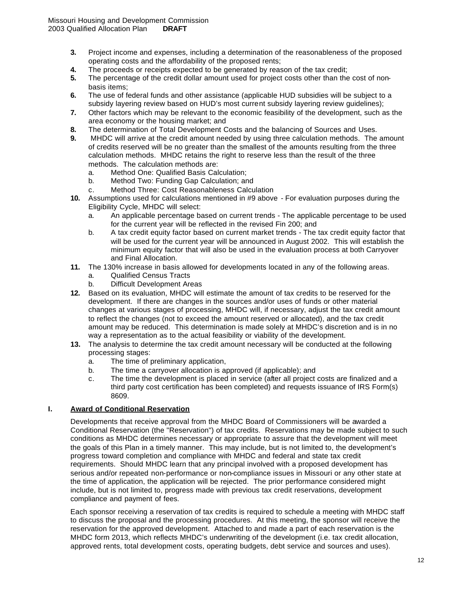- **3.** Project income and expenses, including a determination of the reasonableness of the proposed operating costs and the affordability of the proposed rents;
- **4.** The proceeds or receipts expected to be generated by reason of the tax credit;
- **5.** The percentage of the credit dollar amount used for project costs other than the cost of nonbasis items;
- **6.** The use of federal funds and other assistance (applicable HUD subsidies will be subject to a subsidy layering review based on HUD's most current subsidy layering review guidelines);
- **7.** Other factors which may be relevant to the economic feasibility of the development, such as the area economy or the housing market; and
- **8.** The determination of Total Development Costs and the balancing of Sources and Uses.
- **9.** MHDC will arrive at the credit amount needed by using three calculation methods. The amount of credits reserved will be no greater than the smallest of the amounts resulting from the three calculation methods. MHDC retains the right to reserve less than the result of the three methods. The calculation methods are:
	- a. Method One: Qualified Basis Calculation;
	- b. Method Two: Funding Gap Calculation; and
	- c. Method Three: Cost Reasonableness Calculation
- **10.** Assumptions used for calculations mentioned in #9 above For evaluation purposes during the Eligibility Cycle, MHDC will select:
	- a. An applicable percentage based on current trends The applicable percentage to be used for the current year will be reflected in the revised Fin 200; and
	- b. A tax credit equity factor based on current market trends The tax credit equity factor that will be used for the current year will be announced in August 2002. This will establish the minimum equity factor that will also be used in the evaluation process at both Carryover and Final Allocation.
- **11.** The 130% increase in basis allowed for developments located in any of the following areas.
	- a. Qualified Census Tracts
	- b. Difficult Development Areas
- **12.** Based on its evaluation, MHDC will estimate the amount of tax credits to be reserved for the development. If there are changes in the sources and/or uses of funds or other material changes at various stages of processing, MHDC will, if necessary, adjust the tax credit amount to reflect the changes (not to exceed the amount reserved or allocated), and the tax credit amount may be reduced. This determination is made solely at MHDC's discretion and is in no way a representation as to the actual feasibility or viability of the development.
- **13.** The analysis to determine the tax credit amount necessary will be conducted at the following processing stages:
	- a. The time of preliminary application,
	- b. The time a carryover allocation is approved (if applicable); and
	- c. The time the development is placed in service (after all project costs are finalized and a third party cost certification has been completed) and requests issuance of IRS Form(s) 8609.

# **I. Award of Conditional Reservation**

Developments that receive approval from the MHDC Board of Commissioners will be awarded a Conditional Reservation (the "Reservation") of tax credits. Reservations may be made subject to such conditions as MHDC determines necessary or appropriate to assure that the development will meet the goals of this Plan in a timely manner. This may include, but is not limited to, the development's progress toward completion and compliance with MHDC and federal and state tax credit requirements. Should MHDC learn that any principal involved with a proposed development has serious and/or repeated non-performance or non-compliance issues in Missouri or any other state at the time of application, the application will be rejected. The prior performance considered might include, but is not limited to, progress made with previous tax credit reservations, development compliance and payment of fees.

Each sponsor receiving a reservation of tax credits is required to schedule a meeting with MHDC staff to discuss the proposal and the processing procedures. At this meeting, the sponsor will receive the reservation for the approved development. Attached to and made a part of each reservation is the MHDC form 2013, which reflects MHDC's underwriting of the development (i.e. tax credit allocation, approved rents, total development costs, operating budgets, debt service and sources and uses).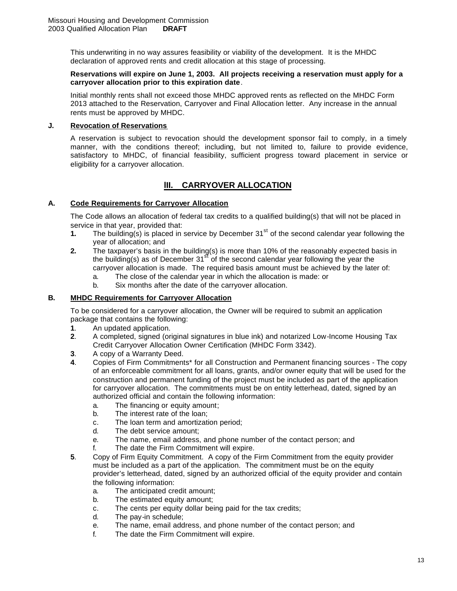This underwriting in no way assures feasibility or viability of the development. It is the MHDC declaration of approved rents and credit allocation at this stage of processing.

#### **Reservations will expire on June 1, 2003. All projects receiving a reservation must apply for a carryover allocation prior to this expiration date**.

Initial monthly rents shall not exceed those MHDC approved rents as reflected on the MHDC Form 2013 attached to the Reservation, Carryover and Final Allocation letter. Any increase in the annual rents must be approved by MHDC.

#### **J. Revocation of Reservations**

A reservation is subject to revocation should the development sponsor fail to comply, in a timely manner, with the conditions thereof; including, but not limited to, failure to provide evidence, satisfactory to MHDC, of financial feasibility, sufficient progress toward placement in service or eligibility for a carryover allocation.

# **lII. CARRYOVER ALLOCATION**

# **A. Code Requirements for Carryover Allocation**

The Code allows an allocation of federal tax credits to a qualified building(s) that will not be placed in service in that year, provided that:

- **1.** The building(s) is placed in service by December 31<sup>st</sup> of the second calendar year following the year of allocation; and
- **2.** The taxpayer's basis in the building(s) is more than 10% of the reasonably expected basis in the building(s) as of December  $31<sup>st</sup>$  of the second calendar year following the year the carryover allocation is made. The required basis amount must be achieved by the later of:
	- a. The close of the calendar year in which the allocation is made: or
	- b. Six months after the date of the carryover allocation.

# **B. MHDC Requirements for Carryover Allocation**

To be considered for a carryover allocation, the Owner will be required to submit an application package that contains the following:

- **1**. An updated application.
- **2**. A completed, signed (original signatures in blue ink) and notarized Low-Income Housing Tax Credit Carryover Allocation Owner Certification (MHDC Form 3342).
- **3**. A copy of a Warranty Deed.
- **4**. Copies of Firm Commitments\* for all Construction and Permanent financing sources The copy of an enforceable commitment for all loans, grants, and/or owner equity that will be used for the construction and permanent funding of the project must be included as part of the application for carryover allocation. The commitments must be on entity letterhead, dated, signed by an authorized official and contain the following information:
	- a. The financing or equity amount;
	- b. The interest rate of the loan;
	- c. The loan term and amortization period;
	- d. The debt service amount;
	- e. The name, email address, and phone number of the contact person; and
	- f. The date the Firm Commitment will expire.
- **5**. Copy of Firm Equity Commitment. A copy of the Firm Commitment from the equity provider must be included as a part of the application. The commitment must be on the equity provider's letterhead, dated, signed by an authorized official of the equity provider and contain the following information:
	- a. The anticipated credit amount;
	- b. The estimated equity amount;
	- c. The cents per equity dollar being paid for the tax credits;
	- d. The pay-in schedule;
	- e. The name, email address, and phone number of the contact person; and
	- f. The date the Firm Commitment will expire.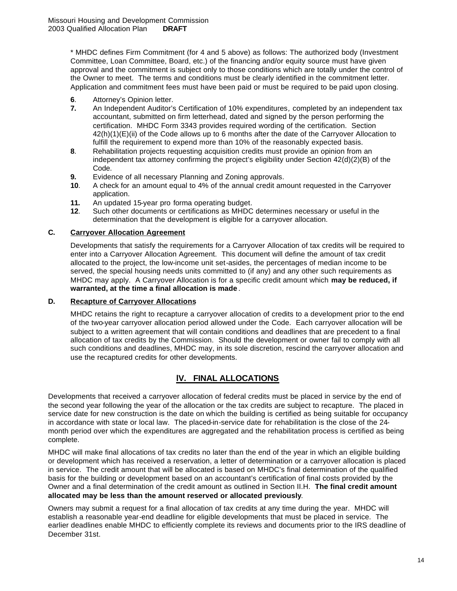\* MHDC defines Firm Commitment (for 4 and 5 above) as follows: The authorized body (Investment Committee, Loan Committee, Board, etc.) of the financing and/or equity source must have given approval and the commitment is subject only to those conditions which are totally under the control of the Owner to meet. The terms and conditions must be clearly identified in the commitment letter. Application and commitment fees must have been paid or must be required to be paid upon closing.

- **6**. Attorney's Opinion letter.
- **7.** An Independent Auditor's Certification of 10% expenditures*,* completed by an independent tax accountant, submitted on firm letterhead, dated and signed by the person performing the certification. MHDC Form 3343 provides required wording of the certification. Section 42(h)(1)(E)(ii) of the Code allows up to 6 months after the date of the Carryover Allocation to fulfill the requirement to expend more than 10% of the reasonably expected basis.
- **8**. Rehabilitation projects requesting acquisition credits must provide an opinion from an independent tax attorney confirming the project's eligibility under Section 42(d)(2)(B) of the Code.
- **9.** Evidence of all necessary Planning and Zoning approvals.
- **10**. A check for an amount equal to 4% of the annual credit amount requested in the Carryover application.
- **11.** An updated 15-year pro forma operating budget.
- **12**. Such other documents or certifications as MHDC determines necessary or useful in the determination that the development is eligible for a carryover allocation.

#### **C. Carryover Allocation Agreement**

Developments that satisfy the requirements for a Carryover Allocation of tax credits will be required to enter into a Carryover Allocation Agreement. This document will define the amount of tax credit allocated to the project, the low-income unit set-asides, the percentages of median income to be served, the special housing needs units committed to (if any) and any other such requirements as MHDC may apply. A Carryover Allocation is for a specific credit amount which **may be reduced, if warranted, at the time a final allocation is made** .

#### **D. Recapture of Carryover Allocations**

MHDC retains the right to recapture a carryover allocation of credits to a development prior to the end of the two-year carryover allocation period allowed under the Code. Each carryover allocation will be subject to a written agreement that will contain conditions and deadlines that are precedent to a final allocation of tax credits by the Commission. Should the development or owner fail to comply with all such conditions and deadlines, MHDC may, in its sole discretion, rescind the carryover allocation and use the recaptured credits for other developments.

# **lV. FINAL ALLOCATIONS**

Developments that received a carryover allocation of federal credits must be placed in service by the end of the second year following the year of the allocation or the tax credits are subject to recapture. The placed in service date for new construction is the date on which the building is certified as being suitable for occupancy in accordance with state or local law. The placed-in-service date for rehabilitation is the close of the 24 month period over which the expenditures are aggregated and the rehabilitation process is certified as being complete.

MHDC will make final allocations of tax credits no later than the end of the year in which an eligible building or development which has received a reservation, a letter of determination or a carryover allocation is placed in service. The credit amount that will be allocated is based on MHDC's final determination of the qualified basis for the building or development based on an accountant's certification of final costs provided by the Owner and a final determination of the credit amount as outlined in Section II.H. **The final credit amount allocated may be less than the amount reserved or allocated previously**.

Owners may submit a request for a final allocation of tax credits at any time during the year. MHDC will establish a reasonable year-end deadline for eligible developments that must be placed in service. The earlier deadlines enable MHDC to efficiently complete its reviews and documents prior to the IRS deadline of December 31st.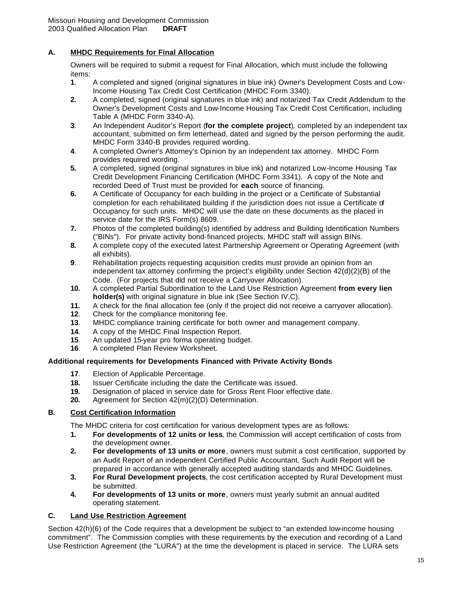# **A. MHDC Requirements for Final Allocation**

Owners will be required to submit a request for Final Allocation, which must include the following items:

- **1**. A completed and signed (original signatures in blue ink) Owner's Development Costs and Low-Income Housing Tax Credit Cost Certification (MHDC Form 3340).
- **2.** A completed, signed (original signatures in blue ink) and notarized Tax Credit Addendum to the Owner's Development Costs and Low-Income Housing Tax Credit Cost Certification, including Table A (MHDC Form 3340-A).
- **3**. An Independent Auditor's Report (**for the complete project**)*,* completed by an independent tax accountant, submitted on firm letterhead, dated and signed by the person performing the audit. MHDC Form 3340-B provides required wording.
- **4**. A completed Owner's Attorney's Opinion by an independent tax attorney. MHDC Form provides required wording.
- **5.** A completed, signed (original signatures in blue ink) and notarized Low-Income Housing Tax Credit Development Financing Certification (MHDC Form 3341). A copy of the Note and recorded Deed of Trust must be provided for **each** source of financing.
- **6.** A Certificate of Occupancy for each building in the project or a Certificate of Substantial completion for each rehabilitated building if the jurisdiction does not issue a Certificate of Occupancy for such units. MHDC will use the date on these documents as the placed in service date for the IRS Form(s) 8609.
- **7.** Photos of the completed building(s) identified by address and Building Identification Numbers ("BINs"). For private activity bond-financed projects, MHDC staff will assign BINs.
- **8.** A complete copy of the executed latest Partnership Agreement or Operating Agreement (with all exhibits).
- **9**. Rehabilitation projects requesting acquisition credits must provide an opinion from an independent tax attorney confirming the project's eligibility under Section 42(d)(2)(B) of the Code. (For projects that did not receive a Carryover Allocation).
- **10.** A completed Partial Subordination to the Land Use Restriction Agreement **from every lien holder(s)** with original signature in blue ink (See Section IV.C).
- **11.** A check for the final allocation fee (only if the project did not receive a carryover allocation).
- **12**. Check for the compliance monitoring fee.
- **13**. MHDC compliance training certificate for both owner and management company.
- **14**. A copy of the MHDC Final Inspection Report.
- **15**. An updated 15-year pro forma operating budget.
- **16**. A completed Plan Review Worksheet.

# **Additional requirements for Developments Financed with Private Activity Bonds**

- **17**. Election of Applicable Percentage.
- **18.** Issuer Certificate including the date the Certificate was issued.
- **19.** Designation of placed in service date for Gross Rent Floor effective date.
- **20.** Agreement for Section 42(m)(2)(D) Determination.

# **B. Cost Certification Information**

The MHDC criteria for cost certification for various development types are as follows:

- **1. For developments of 12 units or less**, the Commission will accept certification of costs from the development owner.
- **2. For developments of 13 units or more**, owners must submit a cost certification, supported by an Audit Report of an independent Certified Public Accountant. Such Audit Report will be prepared in accordance with generally accepted auditing standards and MHDC Guidelines.
- **3. For Rural Development projects**, the cost certification accepted by Rural Development must be submitted.
- **4. For developments of 13 units or more**, owners must yearly submit an annual audited operating statement.

#### **C. Land Use Restriction Agreement**

Section 42(h)(6) of the Code requires that a development be subject to "an extended low-income housing commitment". The Commission complies with these requirements by the execution and recording of a Land Use Restriction Agreement (the "LURA") at the time the development is placed in service. The LURA sets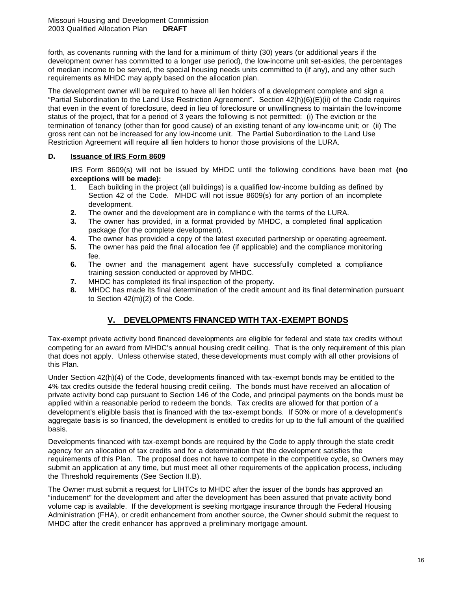forth, as covenants running with the land for a minimum of thirty (30) years (or additional years if the development owner has committed to a longer use period), the low-income unit set-asides, the percentages of median income to be served, the special housing needs units committed to (if any), and any other such requirements as MHDC may apply based on the allocation plan.

The development owner will be required to have all lien holders of a development complete and sign a "Partial Subordination to the Land Use Restriction Agreement". Section 42(h)(6)(E)(ii) of the Code requires that even in the event of foreclosure, deed in lieu of foreclosure or unwillingness to maintain the low-income status of the project, that for a period of 3 years the following is not permitted: (i) The eviction or the termination of tenancy (other than for good cause) of an existing tenant of any low-income unit; or (ii) The gross rent can not be increased for any low-income unit. The Partial Subordination to the Land Use Restriction Agreement will require all lien holders to honor those provisions of the LURA.

# **D. Issuance of IRS Form 8609**

IRS Form 8609(s) will not be issued by MHDC until the following conditions have been met **(no exceptions will be made):**

- **1**. Each building in the project (all buildings) is a qualified low-income building as defined by Section 42 of the Code. MHDC will not issue 8609(s) for any portion of an incomplete development.
- **2.** The owner and the development are in complianc e with the terms of the LURA.
- **3.** The owner has provided, in a format provided by MHDC, a completed final application package (for the complete development).
- **4.** The owner has provided a copy of the latest executed partnership or operating agreement.
- **5.** The owner has paid the final allocation fee (if applicable) and the compliance monitoring fee.
- **6.** The owner and the management agent have successfully completed a compliance training session conducted or approved by MHDC.
- **7.** MHDC has completed its final inspection of the property.
- **8.** MHDC has made its final determination of the credit amount and its final determination pursuant to Section 42(m)(2) of the Code.

# **V. DEVELOPMENTS FINANCED WITH TAX-EXEMPT BONDS**

Tax-exempt private activity bond financed developments are eligible for federal and state tax credits without competing for an award from MHDC's annual housing credit ceiling. That is the only requirement of this plan that does not apply. Unless otherwise stated, these developments must comply with all other provisions of this Plan.

Under Section 42(h)(4) of the Code, developments financed with tax-exempt bonds may be entitled to the 4% tax credits outside the federal housing credit ceiling. The bonds must have received an allocation of private activity bond cap pursuant to Section 146 of the Code, and principal payments on the bonds must be applied within a reasonable period to redeem the bonds. Tax credits are allowed for that portion of a development's eligible basis that is financed with the tax-exempt bonds. If 50% or more of a development's aggregate basis is so financed, the development is entitled to credits for up to the full amount of the qualified basis.

Developments financed with tax-exempt bonds are required by the Code to apply through the state credit agency for an allocation of tax credits and for a determination that the development satisfies the requirements of this Plan. The proposal does not have to compete in the competitive cycle, so Owners may submit an application at any time, but must meet all other requirements of the application process, including the Threshold requirements (See Section II.B).

The Owner must submit a request for LIHTCs to MHDC after the issuer of the bonds has approved an "inducement" for the development and after the development has been assured that private activity bond volume cap is available. If the development is seeking mortgage insurance through the Federal Housing Administration (FHA), or credit enhancement from another source, the Owner should submit the request to MHDC after the credit enhancer has approved a preliminary mortgage amount.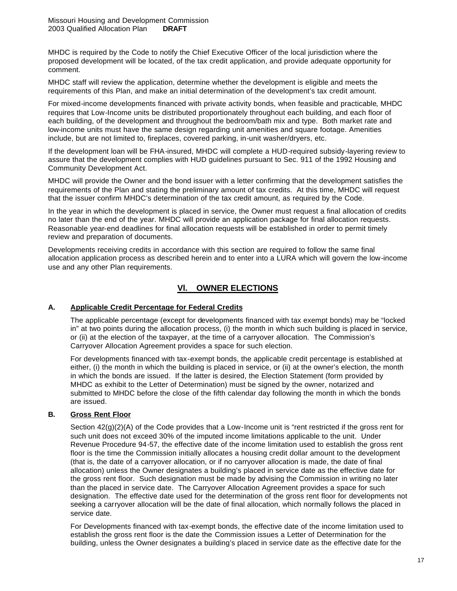MHDC is required by the Code to notify the Chief Executive Officer of the local jurisdiction where the proposed development will be located, of the tax credit application, and provide adequate opportunity for comment.

MHDC staff will review the application, determine whether the development is eligible and meets the requirements of this Plan, and make an initial determination of the development's tax credit amount.

For mixed-income developments financed with private activity bonds, when feasible and practicable, MHDC requires that Low-Income units be distributed proportionately throughout each building, and each floor of each building, of the development and throughout the bedroom/bath mix and type. Both market rate and low-income units must have the same design regarding unit amenities and square footage. Amenities include, but are not limited to, fireplaces, covered parking, in-unit washer/dryers, etc.

If the development loan will be FHA-insured, MHDC will complete a HUD-required subsidy-layering review to assure that the development complies with HUD guidelines pursuant to Sec. 911 of the 1992 Housing and Community Development Act.

MHDC will provide the Owner and the bond issuer with a letter confirming that the development satisfies the requirements of the Plan and stating the preliminary amount of tax credits. At this time, MHDC will request that the issuer confirm MHDC's determination of the tax credit amount, as required by the Code.

In the year in which the development is placed in service, the Owner must request a final allocation of credits no later than the end of the year. MHDC will provide an application package for final allocation requests. Reasonable year-end deadlines for final allocation requests will be established in order to permit timely review and preparation of documents.

Developments receiving credits in accordance with this section are required to follow the same final allocation application process as described herein and to enter into a LURA which will govern the low-income use and any other Plan requirements.

# **Vl. OWNER ELECTIONS**

# **A. Applicable Credit Percentage for Federal Credits**

The applicable percentage (except for developments financed with tax exempt bonds) may be "locked in" at two points during the allocation process, (i) the month in which such building is placed in service, or (ii) at the election of the taxpayer, at the time of a carryover allocation. The Commission's Carryover Allocation Agreement provides a space for such election.

For developments financed with tax-exempt bonds, the applicable credit percentage is established at either, (i) the month in which the building is placed in service, or (ii) at the owner's election, the month in which the bonds are issued. If the latter is desired, the Election Statement (form provided by MHDC as exhibit to the Letter of Determination) must be signed by the owner, notarized and submitted to MHDC before the close of the fifth calendar day following the month in which the bonds are issued.

# **B. Gross Rent Floor**

Section  $42(q)(2)(A)$  of the Code provides that a Low-Income unit is "rent restricted if the gross rent for such unit does not exceed 30% of the imputed income limitations applicable to the unit. Under Revenue Procedure 94-57, the effective date of the income limitation used to establish the gross rent floor is the time the Commission initially allocates a housing credit dollar amount to the development (that is, the date of a carryover allocation, or if no carryover allocation is made, the date of final allocation) unless the Owner designates a building's placed in service date as the effective date for the gross rent floor. Such designation must be made by advising the Commission in writing no later than the placed in service date. The Carryover Allocation Agreement provides a space for such designation. The effective date used for the determination of the gross rent floor for developments not seeking a carryover allocation will be the date of final allocation, which normally follows the placed in service date.

For Developments financed with tax-exempt bonds, the effective date of the income limitation used to establish the gross rent floor is the date the Commission issues a Letter of Determination for the building, unless the Owner designates a building's placed in service date as the effective date for the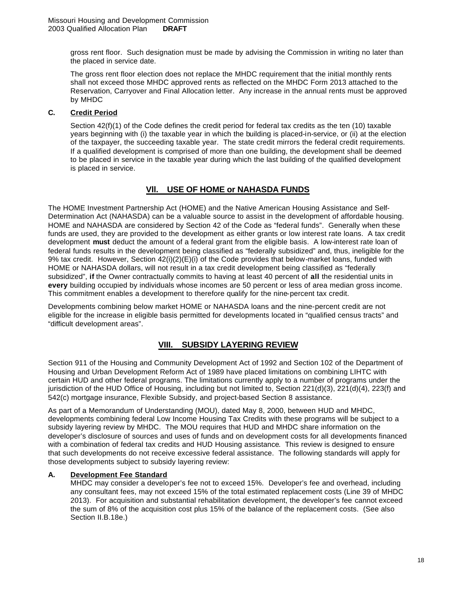gross rent floor. Such designation must be made by advising the Commission in writing no later than the placed in service date.

The gross rent floor election does not replace the MHDC requirement that the initial monthly rents shall not exceed those MHDC approved rents as reflected on the MHDC Form 2013 attached to the Reservation, Carryover and Final Allocation letter. Any increase in the annual rents must be approved by MHDC

# **C. Credit Period**

Section 42(f)(1) of the Code defines the credit period for federal tax credits as the ten (10) taxable years beginning with (i) the taxable year in which the building is placed-in-service, or (ii) at the election of the taxpayer, the succeeding taxable year. The state credit mirrors the federal credit requirements. If a qualified development is comprised of more than one building, the development shall be deemed to be placed in service in the taxable year during which the last building of the qualified development is placed in service.

# **Vll. USE OF HOME or NAHASDA FUNDS**

The HOME Investment Partnership Act (HOME) and the Native American Housing Assistance and Self-Determination Act (NAHASDA) can be a valuable source to assist in the development of affordable housing. HOME and NAHASDA are considered by Section 42 of the Code as "federal funds". Generally when these funds are used, they are provided to the development as either grants or low interest rate loans. A tax credit development **must** deduct the amount of a federal grant from the eligible basis. A low-interest rate loan of federal funds results in the development being classified as "federally subsidized" and, thus, ineligible for the 9% tax credit. However, Section 42(i)(2)(E)(i) of the Code provides that below-market loans, funded with HOME or NAHASDA dollars, will not result in a tax credit development being classified as "federally subsidized", **if** the Owner contractually commits to having at least 40 percent of **all** the residential units in **every** building occupied by individuals whose incomes are 50 percent or less of area median gross income. This commitment enables a development to therefore qualify for the nine-percent tax credit.

Developments combining below market HOME or NAHASDA loans and the nine-percent credit are not eligible for the increase in eligible basis permitted for developments located in "qualified census tracts" and "difficult development areas".

# **VIII. SUBSIDY LAYERING REVIEW**

Section 911 of the Housing and Community Development Act of 1992 and Section 102 of the Department of Housing and Urban Development Reform Act of 1989 have placed limitations on combining LIHTC with certain HUD and other federal programs. The limitations currently apply to a number of programs under the jurisdiction of the HUD Office of Housing, including but not limited to, Section 221(d)(3), 221(d)(4), 223(f) and 542(c) mortgage insurance, Flexible Subsidy, and project-based Section 8 assistance.

As part of a Memorandum of Understanding (MOU), dated May 8, 2000, between HUD and MHDC, developments combining federal Low Income Housing Tax Credits with these programs will be subject to a subsidy layering review by MHDC. The MOU requires that HUD and MHDC share information on the developer's disclosure of sources and uses of funds and on development costs for all developments financed with a combination of federal tax credits and HUD Housing assistance. This review is designed to ensure that such developments do not receive excessive federal assistance. The following standards will apply for those developments subject to subsidy layering review:

# **A. Development Fee Standard**

MHDC may consider a developer's fee not to exceed 15%. Developer's fee and overhead, including any consultant fees, may not exceed 15% of the total estimated replacement costs (Line 39 of MHDC 2013). For acquisition and substantial rehabilitation development, the developer's fee cannot exceed the sum of 8% of the acquisition cost plus 15% of the balance of the replacement costs. (See also Section II.B.18e.)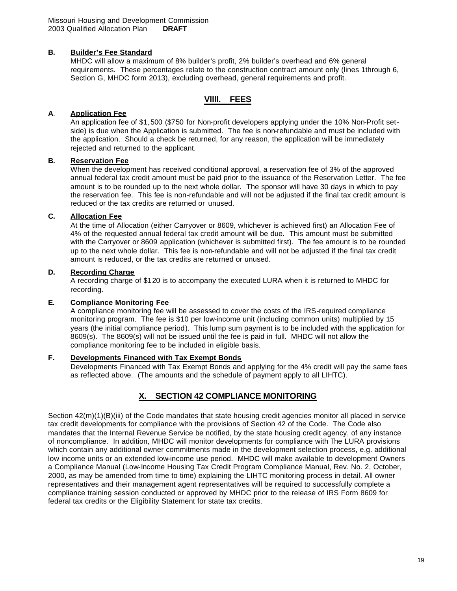#### **B. Builder's Fee Standard**

MHDC will allow a maximum of 8% builder's profit, 2% builder's overhead and 6% general requirements. These percentages relate to the construction contract amount only (lines 1through 6, Section G, MHDC form 2013), excluding overhead, general requirements and profit.

# **Vllll. FEES**

#### **A**. **Application Fee**

An application fee of \$1, 500 (\$750 for Non-profit developers applying under the 10% Non-Profit setside) is due when the Application is submitted. The fee is non-refundable and must be included with the application. Should a check be returned, for any reason, the application will be immediately rejected and returned to the applicant.

# **B. Reservation Fee**

When the development has received conditional approval, a reservation fee of 3% of the approved annual federal tax credit amount must be paid prior to the issuance of the Reservation Letter. The fee amount is to be rounded up to the next whole dollar. The sponsor will have 30 days in which to pay the reservation fee. This fee is non-refundable and will not be adjusted if the final tax credit amount is reduced or the tax credits are returned or unused.

# **C. Allocation Fee**

At the time of Allocation (either Carryover or 8609, whichever is achieved first) an Allocation Fee of 4% of the requested annual federal tax credit amount will be due. This amount must be submitted with the Carryover or 8609 application (whichever is submitted first). The fee amount is to be rounded up to the next whole dollar. This fee is non-refundable and will not be adjusted if the final tax credit amount is reduced, or the tax credits are returned or unused.

#### **D. Recording Charge**

A recording charge of \$120 is to accompany the executed LURA when it is returned to MHDC for recording.

#### **E. Compliance Monitoring Fee**

A compliance monitoring fee will be assessed to cover the costs of the IRS-required compliance monitoring program. The fee is \$10 per low-income unit (including common units) multiplied by 15 years (the initial compliance period). This lump sum payment is to be included with the application for 8609(s). The 8609(s) will not be issued until the fee is paid in full. MHDC will not allow the compliance monitoring fee to be included in eligible basis.

# **F. Developments Financed with Tax Exempt Bonds**

Developments Financed with Tax Exempt Bonds and applying for the 4% credit will pay the same fees as reflected above. (The amounts and the schedule of payment apply to all LIHTC).

# **X. SECTION 42 COMPLIANCE MONITORING**

Section 42(m)(1)(B)(iii) of the Code mandates that state housing credit agencies monitor all placed in service tax credit developments for compliance with the provisions of Section 42 of the Code. The Code also mandates that the Internal Revenue Service be notified, by the state housing credit agency, of any instance of noncompliance. In addition, MHDC will monitor developments for compliance with The LURA provisions which contain any additional owner commitments made in the development selection process, e.g. additional low income units or an extended low-income use period. MHDC will make available to development Owners a Compliance Manual (Low-Income Housing Tax Credit Program Compliance Manual, Rev. No. 2, October, 2000, as may be amended from time to time) explaining the LIHTC monitoring process in detail. All owner representatives and their management agent representatives will be required to successfully complete a compliance training session conducted or approved by MHDC prior to the release of IRS Form 8609 for federal tax credits or the Eligibility Statement for state tax credits.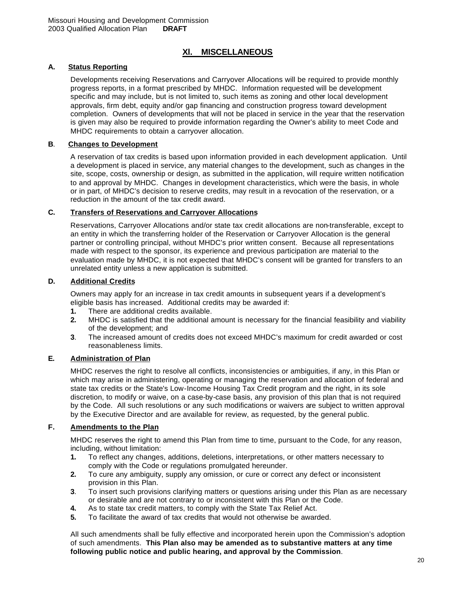# **Xl. MISCELLANEOUS**

# **A. Status Reporting**

Developments receiving Reservations and Carryover Allocations will be required to provide monthly progress reports, in a format prescribed by MHDC. Information requested will be development specific and may include, but is not limited to, such items as zoning and other local development approvals, firm debt, equity and/or gap financing and construction progress toward development completion. Owners of developments that will not be placed in service in the year that the reservation is given may also be required to provide information regarding the Owner's ability to meet Code and MHDC requirements to obtain a carryover allocation.

#### **B**. **Changes to Development**

A reservation of tax credits is based upon information provided in each development application. Until a development is placed in service, any material changes to the development, such as changes in the site, scope, costs, ownership or design, as submitted in the application, will require written notification to and approval by MHDC. Changes in development characteristics, which were the basis, in whole or in part, of MHDC's decision to reserve credits, may result in a revocation of the reservation, or a reduction in the amount of the tax credit award.

# **C. Transfers of Reservations and Carryover Allocations**

Reservations, Carryover Allocations and/or state tax credit allocations are non-transferable, except to an entity in which the transferring holder of the Reservation or Carryover Allocation is the general partner or controlling principal, without MHDC's prior written consent. Because all representations made with respect to the sponsor, its experience and previous participation are material to the evaluation made by MHDC, it is not expected that MHDC's consent will be granted for transfers to an unrelated entity unless a new application is submitted.

#### **D. Additional Credits**

Owners may apply for an increase in tax credit amounts in subsequent years if a development's eligible basis has increased. Additional credits may be awarded if:

- **1.** There are additional credits available.
- **2.** MHDC is satisfied that the additional amount is necessary for the financial feasibility and viability of the development; and
- **3**. The increased amount of credits does not exceed MHDC's maximum for credit awarded or cost reasonableness limits.

# **E. Administration of Plan**

MHDC reserves the right to resolve all conflicts, inconsistencies or ambiguities, if any, in this Plan or which may arise in administering, operating or managing the reservation and allocation of federal and state tax credits or the State's Low-Income Housing Tax Credit program and the right, in its sole discretion, to modify or waive, on a case-by-case basis, any provision of this plan that is not required by the Code. All such resolutions or any such modifications or waivers are subject to written approval by the Executive Director and are available for review, as requested, by the general public.

# **F. Amendments to the Plan**

MHDC reserves the right to amend this Plan from time to time, pursuant to the Code, for any reason, including, without limitation:

- **1.** To reflect any changes, additions, deletions, interpretations, or other matters necessary to comply with the Code or regulations promulgated hereunder.
- **2.** To cure any ambiguity, supply any omission, or cure or correct any defect or inconsistent provision in this Plan.
- **3**. To insert such provisions clarifying matters or questions arising under this Plan as are necessary or desirable and are not contrary to or inconsistent with this Plan or the Code.
- **4.** As to state tax credit matters, to comply with the State Tax Relief Act.
- **5.** To facilitate the award of tax credits that would not otherwise be awarded.

All such amendments shall be fully effective and incorporated herein upon the Commission's adoption of such amendments. **This Plan also may be amended as to substantive matters at any time following public notice and public hearing, and approval by the Commission**.